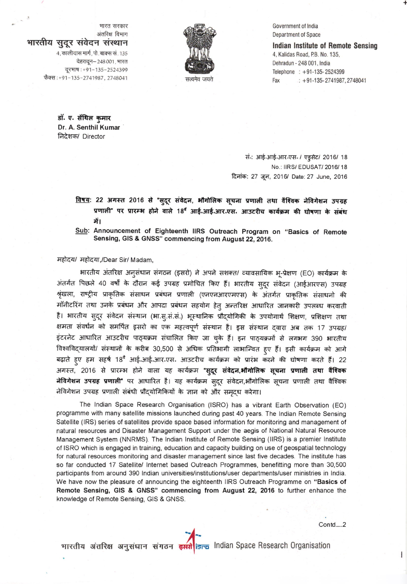भारत सरकार अंतरिक्ष विभाग भारतीय सुदूर संवेदन संस्थान

> 4, कालीदास मार्ग, पो. बाक्स सं. 135 देहरादून– 248 001, भारत दूरभाष: +91-135-2524399 फैक्स:+91-135-2741987, 2748041

Government of India Department of Space

**Indian Institute of Remote Sensing** 4, Kalidas Road, P.B. No. 135, Dehradun - 248 001, India Telephone : +91-135-2524399  $\therefore$  +91-135-2741987, 2748041 Fax

डॉ. ए. सेंथिल कुमार Dr. A. Senthil Kumar निदेशक/ Director

> संः आई-आई-आर-एस- / एड्सेट/ 2016/ 18 No.: IIRS/EDUSAT/2016/18 दिनांक: 27 जून, 2016/ Date: 27 June, 2016

<u>विषय</u>: 22 अगस्त 2016 से "सुदूर संवेदन, भौगोलिक सूचना प्रणाली तथा वैश्विक नेविगेशन उपग्रह प्रणाली" पर प्रारम्भ होने वाले 18<sup>वं</sup> आई.आई.आर.एस. आउटरीच कार्यक्रम की घोषणा के संबंध में।

Sub: Announcement of Eighteenth IIRS Outreach Program on "Basics of Remote Sensing, GIS & GNSS" commencing from August 22, 2016.

महोदय/ महोदया,/Dear Sir/ Madam,

भारतीय अंतरिक्ष अनुसंधान संगठन (इसरो) ने अपने सशक्त/ व्यावसायिक भू-प्रेक्षण (EO) कार्यक्रम के अंतर्गत पिछले 40 वर्षों के दौरान कई उपग्रह प्रमोचित किए हैं। भारतीय स्टुर संवेदन (आईआरएस) उपग्रह श्रृंखला, राष्ट्रीय प्राकृतिक संसाधन प्रबंधन प्रणाली (एनएनआरएमएस) के अंतर्गत प्राकृतिक संसाधनो की मॉनीटरिंग तथा उनके प्रबंधन और आपदा प्रबंधन सहयोग हेत् अन्तरिक्ष आधारित जानकारी उपलब्ध करवाती है। भारतीय सुदूर संवेदन संस्थान (भा.स्.सं.सं.) भूस्थानिक प्रौद्योगिकी के उपयोगार्थ शिक्षण, प्रशिक्षण तथा क्षमता संवर्धन को समर्पित इसरो का एक महत्वपूर्ण संस्थान है। इस संस्थान द्वारा अब तक 17 उपग्रह/ इंटरनेट आधारित आउटरीच पाठ्यक्रम संचालित किए जा चुके हैं। इन पाठ्यक्रमों से लगभग 390 भारतीय विश्वविद्यालयों/ संस्थानों के करीब 30,500 से अधिक प्रतिभागी लाभान्वित हुए हैं। इसी कार्यक्रम को आगे बढ़ाते हुए हम सहर्ष 18<sup>वे</sup> आई.आई.आर.एस. आउटरीच कार्यक्रम को प्रारंभ करने की घोषणा करते हैं। 22 अगस्त, 2016 से प्रारम्भ होने वाला यह कार्यक्रम "सुदूर संवेदन,**औगोलिक सूचना प्रणाली तथा वैश्विक** नेविगेशन उपग्रह प्रणाली" पर आधारित है। यह कार्यक्रम स्**दूर संवेदन,भौगोलिक सूचना प्रणाली तथा** वैश्विक नेविगेशन उपग्रह प्रणाली संबंधी प्रौद्योगिकियों के ज्ञान को और समृद्ध करेगा।

The Indian Space Research Organisation (ISRO) has a vibrant Earth Observation (EO) programme with many satellite missions launched during past 40 years. The Indian Remote Sensing Satellite (IRS) series of satellites provide space based information for monitoring and management of natural resources and Disaster Management Support under the aegis of National Natural Resource Management System (NNRMS). The Indian Institute of Remote Sensing (IIRS) is a premier Institute of ISRO which is engaged in training, education and capacity building on use of geospatial technology for natural resources monitoring and disaster management since last five decades. The institute has so far conducted 17 Satellite/ Internet based Outreach Programmes, benefitting more than 30,500 participants from around 390 Indian universities/institutions/user departments/user ministries in India. We have now the pleasure of announcing the eighteenth IIRS Outreach Programme on "Basics of Remote Sensing, GIS & GNSS" commencing from August 22, 2016 to further enhance the knowledge of Remote Sensing, GIS & GNSS.

Contd....2

भारतीय अंतरिक्ष अनुसंधान संगठन इसरी isra Indian Space Research Organisation